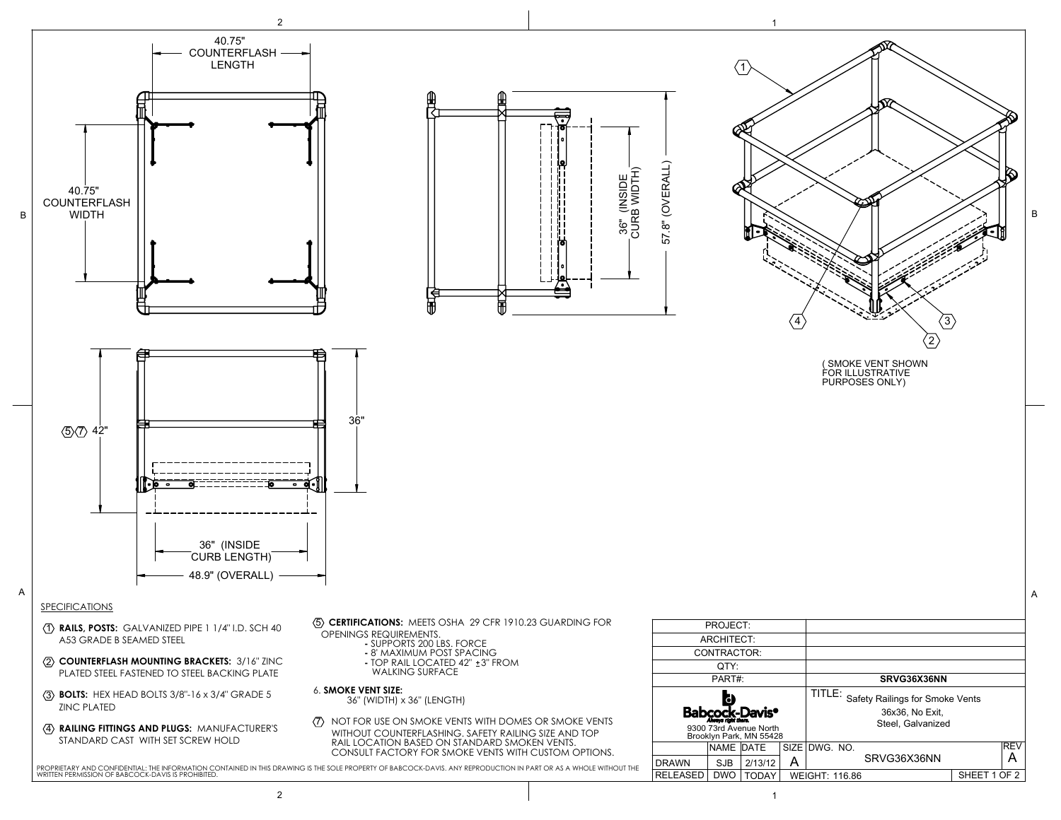